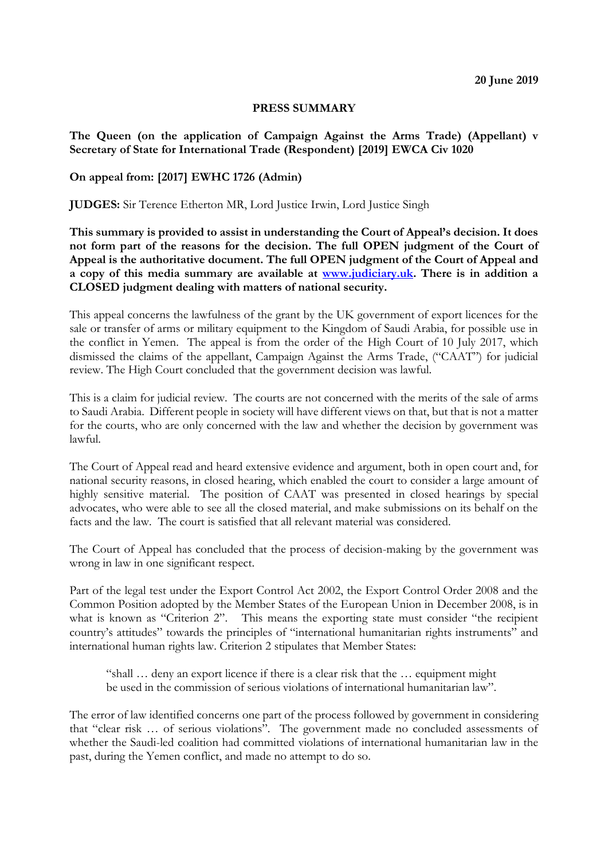## **PRESS SUMMARY**

**The Queen (on the application of Campaign Against the Arms Trade) (Appellant) v Secretary of State for International Trade (Respondent) [2019] EWCA Civ 1020**

## **On appeal from: [2017] EWHC 1726 (Admin)**

**JUDGES:** Sir Terence Etherton MR, Lord Justice Irwin, Lord Justice Singh

**This summary is provided to assist in understanding the Court of Appeal's decision. It does not form part of the reasons for the decision. The full OPEN judgment of the Court of Appeal is the authoritative document. The full OPEN judgment of the Court of Appeal and a copy of this media summary are available at [www.judiciary.uk.](http://www.judiciary.uk/) There is in addition a CLOSED judgment dealing with matters of national security.**

This appeal concerns the lawfulness of the grant by the UK government of export licences for the sale or transfer of arms or military equipment to the Kingdom of Saudi Arabia, for possible use in the conflict in Yemen. The appeal is from the order of the High Court of 10 July 2017, which dismissed the claims of the appellant, Campaign Against the Arms Trade, ("CAAT") for judicial review. The High Court concluded that the government decision was lawful.

This is a claim for judicial review. The courts are not concerned with the merits of the sale of arms to Saudi Arabia. Different people in society will have different views on that, but that is not a matter for the courts, who are only concerned with the law and whether the decision by government was lawful.

The Court of Appeal read and heard extensive evidence and argument, both in open court and, for national security reasons, in closed hearing, which enabled the court to consider a large amount of highly sensitive material. The position of CAAT was presented in closed hearings by special advocates, who were able to see all the closed material, and make submissions on its behalf on the facts and the law. The court is satisfied that all relevant material was considered.

The Court of Appeal has concluded that the process of decision-making by the government was wrong in law in one significant respect.

Part of the legal test under the Export Control Act 2002, the Export Control Order 2008 and the Common Position adopted by the Member States of the European Union in December 2008, is in what is known as "Criterion 2". This means the exporting state must consider "the recipient country's attitudes" towards the principles of "international humanitarian rights instruments" and international human rights law. Criterion 2 stipulates that Member States:

"shall … deny an export licence if there is a clear risk that the … equipment might be used in the commission of serious violations of international humanitarian law".

The error of law identified concerns one part of the process followed by government in considering that "clear risk … of serious violations". The government made no concluded assessments of whether the Saudi-led coalition had committed violations of international humanitarian law in the past, during the Yemen conflict, and made no attempt to do so.